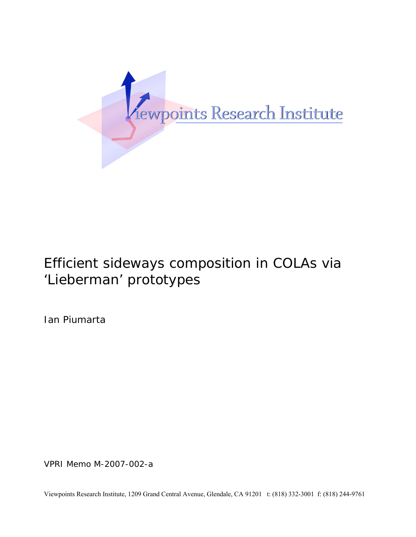

# Efficient sideways composition in COLAs via 'Lieberman' prototypes

Ian Piumarta

VPRI Memo M-2007-002-a

Viewpoints Research Institute, 1209 Grand Central Avenue, Glendale, CA 91201 t: (818) 332-3001 f: (818) 244-9761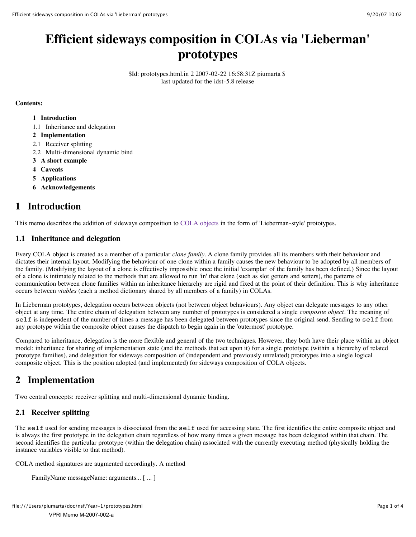## **Efficient sideways composition in COLAs via 'Lieberman' prototypes**

\$Id: prototypes.html.in 2 2007-02-22 16:58:31Z piumarta \$ last updated for the idst-5.8 release

#### **Contents:**

- **1 Introduction**
- 1.1 Inheritance and delegation
- **2 Implementation**
- 2.1 Receiver splitting
- 2.2 Multi-dimensional dynamic bind
- **3 A short example**
- **4 Caveats**
- **5 Applications**
- **6 Acknowledgements**

## **1 Introduction**

This memo describes the addition of sideways composition to [COLA objects](file:///Users/piumarta/doc/nsf/Year-1/cola-objects.html) in the form of 'Lieberman-style' prototypes.

#### **1.1 Inheritance and delegation**

Every COLA object is created as a member of a particular *clone family*. A clone family provides all its members with their behaviour and dictates their internal layout. Modifying the behaviour of one clone within a family causes the new behaviour to be adopted by all members of the family. (Modifying the layout of a clone is effectively impossible once the initial 'examplar' of the family has been defined.) Since the layout of a clone is intimately related to the methods that are allowed to run 'in' that clone (such as slot getters and setters), the patterns of communication between clone families within an inheritance hierarchy are rigid and fixed at the point of their definition. This is why inheritance occurs between *vtables* (each a method dictionary shared by all members of a family) in COLAs.

In Lieberman prototypes, delegation occurs between objects (not between object behaviours). Any object can delegate messages to any other object at any time. The entire chain of delegation between any number of prototypes is considered a single *composite object*. The meaning of self is independent of the number of times a message has been delegated between prototypes since the original send. Sending to self from any prototype within the composite object causes the dispatch to begin again in the 'outermost' prototype.

Compared to inheritance, delegation is the more flexible and general of the two techniques. However, they both have their place within an object model: inheritance for sharing of implementation state (and the methods that act upon it) for a single prototype (within a hierarchy of related prototype families), and delegation for sideways composition of (independent and previously unrelated) prototypes into a single logical composite object. This is the position adopted (and implemented) for sideways composition of COLA objects.

## **2 Implementation**

Two central concepts: receiver splitting and multi-dimensional dynamic binding.

#### **2.1 Receiver splitting**

The self used for sending messages is dissociated from the self used for accessing state. The first identifies the entire composite object and is always the first prototype in the delegation chain regardless of how many times a given message has been delegated within that chain. The second identifies the particular prototype (within the delegation chain) associated with the currently executing method (physically holding the instance variables visible to that method).

COLA method signatures are augmented accordingly. A method

```
FamilyName messageName: arguments... [ ... ]
```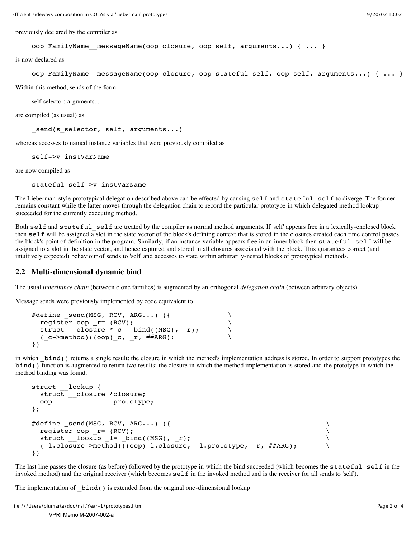previously declared by the compiler as

```
oop FamilyName messageName(oop closure, oop self, arguments...) { ... }
```
is now declared as

```
oop FamilyName messageName(oop closure, oop stateful self, oop self, arguments...) { ... }
```
Within this method, sends of the form

self selector: arguments...

are compiled (as usual) as

send(s selector, self, arguments...)

whereas accesses to named instance variables that were previously compiled as

self->v\_instVarName

are now compiled as

stateful self->v instVarName

The Lieberman-style prototypical delegation described above can be effected by causing self and stateful self to diverge. The former remains constant while the latter moves through the delegation chain to record the particular prototype in which delegated method lookup succeeded for the currently executing method.

Both self and stateful self are treated by the compiler as normal method arguments. If 'self' appears free in a lexically-enclosed block then self will be assigned a slot in the state vector of the block's defining context that is stored in the closures created each time control passes the block's point of definition in the program. Similarly, if an instance variable appears free in an inner block then stateful\_self will be assigned to a slot in the state vector, and hence captured and stored in all closures associated with the block. This guarantees correct (and intuitively expected) behaviour of sends to 'self' and accesses to state within arbitrarily-nested blocks of prototypical methods.

#### **2.2 Multi-dimensional dynamic bind**

The usual *inheritance chain* (between clone families) is augmented by an orthogonal *delegation chain* (between arbitrary objects).

Message sends were previously implemented by code equivalent to

```
\# \texttt{define\_send(MSG, RCV, ARG...)} ({
   register oop _r= (RCV); \
  struct \frac{1}{x} closure x^2 - c = \phi bind((MSG), \phir);
  ( c \rightarrow method) ((oop) c, r, # \# ARG);})
```
in which \_bind() returns a single result: the closure in which the method's implementation address is stored. In order to support prototypes the bind() function is augmented to return two results: the closure in which the method implementation is stored and the prototype in which the method binding was found.

```
struct __lookup {
  struct __closure *closure;
  oop prototype;
};
#define send(MSG, RCV, ARG...) ({
 register oop r= (RCV); \hfillstruct \_\lookup \_\i= \_\bind((MSG), \_\r);
 ( l.closure->method)((oop) l.closure, l.prototype, r, ##ARG);
})
```
The last line passes the closure (as before) followed by the prototype in which the bind succeeded (which becomes the stateful self in the invoked method) and the original receiver (which becomes  $\texttt{self}$  in the invoked method and is the receiver for all sends to 'self').

The implementation of  $\;$  bind() is extended from the original one-dimensional lookup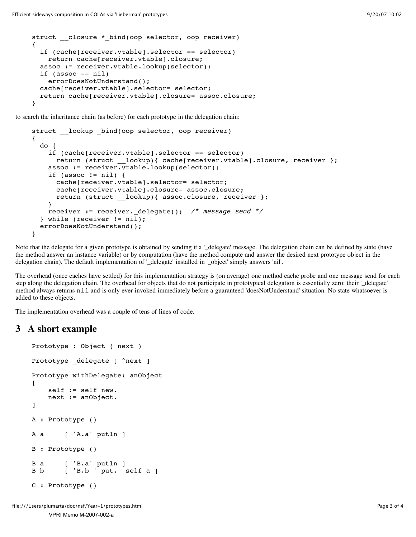```
struct closure * bind(oop selector, oop receiver)
{
   if (cache[receiver.vtable].selector == selector)
     return cache[receiver.vtable].closure;
   assoc := receiver.vtable.lookup(selector);
  if (assoc == nil)
    errorDoesNotUnderstand();
   cache[receiver.vtable].selector= selector;
   return cache[receiver.vtable].closure= assoc.closure;
}
```
to search the inheritance chain (as before) for each prototype in the delegation chain:

```
struct lookup bind(oop selector, oop receiver)
{
   do {
     if (cache[receiver.vtable].selector == selector)
      return (struct lookup){ cache[receiver.vtable].closure, receiver };
     assoc := receiver.vtable.lookup(selector);
     if (assoc != nil) {
       cache[receiver.vtable].selector= selector;
       cache[receiver.vtable].closure= assoc.closure;
      return (struct lookup){ assoc.closure, receiver };
     }
   receiver := receiver. delegate(); /* message send */
   } while (receiver != nil);
  errorDoesNotUnderstand();
}
```
Note that the delegate for a given prototype is obtained by sending it a '\_delegate' message. The delegation chain can be defined by state (have the method answer an instance variable) or by computation (have the method compute and answer the desired next prototype object in the delegation chain). The default implementation of '\_delegate' installed in '\_object' simply answers 'nil'.

The overhead (once caches have settled) for this implementation strategy is (on average) one method cache probe and one message send for each step along the delegation chain. The overhead for objects that do not participate in prototypical delegation is essentially zero: their '\_delegate' method always returns nil and is only ever invoked immediately before a guaranteed 'doesNotUnderstand' situation. No state whatsoever is added to these objects.

The implementation overhead was a couple of tens of lines of code.

### **3 A short example**

```
Prototype : Object ( next )
Prototype delegate [ ^next ]
Prototype withDelegate: anObject
\Gamma self := self new.
    next := anObject.
]
A : Prototype ()
A a [ 'A.a' putln ]B : Prototype ()
B a [ B.a' putln ]B b [ 'B.b ' put. self a ]
C : Prototype ()
```